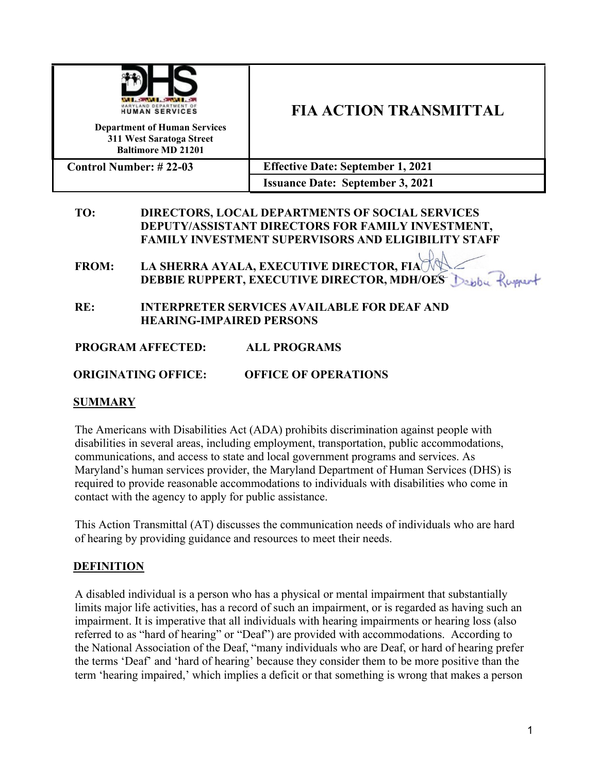| м | $\sim$ $\sim$         |
|---|-----------------------|
|   |                       |
|   | <b>HUMAN SERVICES</b> |

# **FIA ACTION TRANSMITTAL**

**Department of Human Services 311 West Saratoga Street Baltimore MD 21201**

| <b>Control Number: #22-03</b> | <b>Effective Date: September 1, 2021</b> |
|-------------------------------|------------------------------------------|
|                               | <b>Issuance Date: September 3, 2021</b>  |

### **TO: DIRECTORS, LOCAL DEPARTMENTS OF SOCIAL SERVICES DEPUTY/ASSISTANT DIRECTORS FOR FAMILY INVESTMENT, FAMILY INVESTMENT SUPERVISORS AND ELIGIBILITY STAFF**

- **FROM: LA SHERRA AYALA, EXECUTIVE DIRECTOR, FIA DEBBIE RUPPERT, EXECUTIVE DIRECTOR, MDH/OES**
- **RE: INTERPRETER SERVICES AVAILABLE FOR DEAF AND HEARING-IMPAIRED PERSONS**

## **PROGRAM AFFECTED: ALL PROGRAMS**

## **ORIGINATING OFFICE: OFFICE OF OPERATIONS**

## **SUMMARY**

The Americans with Disabilities Act (ADA) prohibits discrimination against people with disabilities in several areas, including employment, transportation, public accommodations, communications, and access to state and local government programs and services. As Maryland's human services provider, the Maryland Department of Human Services (DHS) is required to provide reasonable accommodations to individuals with disabilities who come in contact with the agency to apply for public assistance.

This Action Transmittal (AT) discusses the communication needs of individuals who are hard of hearing by providing guidance and resources to meet their needs.

## **DEFINITION**

A disabled individual is a person who has a physical or mental impairment that substantially limits major life activities, has a record of such an impairment, or is regarded as having such an impairment. It is imperative that all individuals with hearing impairments or hearing loss (also referred to as "hard of hearing" or "Deaf") are provided with accommodations. According to the National Association of the Deaf, "many individuals who are Deaf, or hard of hearing prefer the terms 'Deaf' and 'hard of hearing' because they consider them to be more positive than the term 'hearing impaired,' which implies a deficit or that something is wrong that makes a person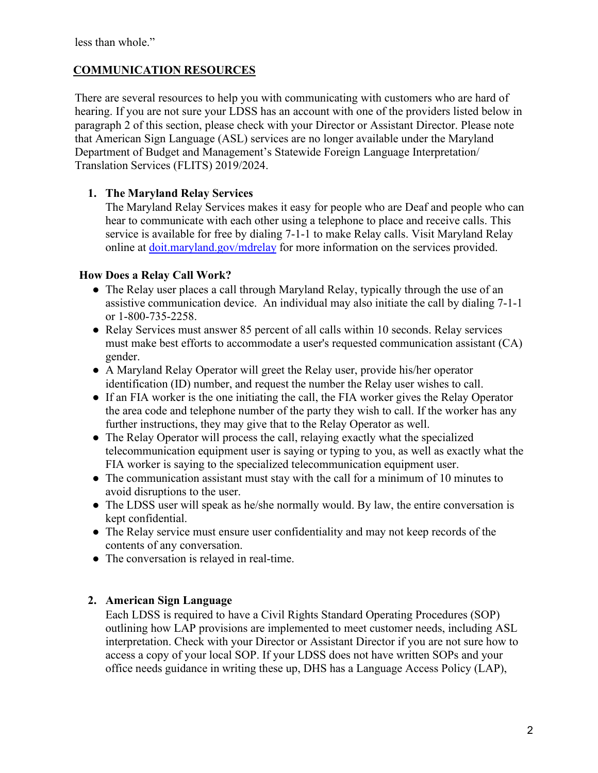## **COMMUNICATION RESOURCES**

There are several resources to help you with communicating with customers who are hard of hearing. If you are not sure your LDSS has an account with one of the providers listed below in paragraph 2 of this section, please check with your Director or Assistant Director. Please note that American Sign Language (ASL) services are no longer available under the Maryland Department of Budget and Management's Statewide Foreign Language Interpretation/ Translation Services (FLITS) 2019/2024.

### **1. The Maryland Relay Services**

The Maryland Relay Services makes it easy for people who are Deaf and people who can hear to communicate with each other using a telephone to place and receive calls. This service is available for free by dialing 7-1-1 to make Relay calls. Visit Maryland Relay online at doit.maryland.gov/mdrelay for more information on the services provided.

### **How Does a Relay Call Work?**

- The Relay user places a call through Maryland Relay, typically through the use of an assistive communication device. An individual may also initiate the call by dialing 7-1-1 or 1-800-735-2258.
- Relay Services must answer 85 percent of all calls within 10 seconds. Relay services must make best efforts to accommodate a user's requested communication assistant (CA) gender.
- A Maryland Relay Operator will greet the Relay user, provide his/her operator identification (ID) number, and request the number the Relay user wishes to call.
- If an FIA worker is the one initiating the call, the FIA worker gives the Relay Operator the area code and telephone number of the party they wish to call. If the worker has any further instructions, they may give that to the Relay Operator as well.
- The Relay Operator will process the call, relaying exactly what the specialized telecommunication equipment user is saying or typing to you, as well as exactly what the FIA worker is saying to the specialized telecommunication equipment user.
- The communication assistant must stay with the call for a minimum of 10 minutes to avoid disruptions to the user.
- The LDSS user will speak as he/she normally would. By law, the entire conversation is kept confidential.
- The Relay service must ensure user confidentiality and may not keep records of the contents of any conversation.
- The conversation is relayed in real-time.

### **2. American Sign Language**

Each LDSS is required to have a Civil Rights Standard Operating Procedures (SOP) outlining how LAP provisions are implemented to meet customer needs, including ASL interpretation. Check with your Director or Assistant Director if you are not sure how to access a copy of your local SOP. If your LDSS does not have written SOPs and your office needs guidance in writing these up, DHS has a Language Access Policy (LAP),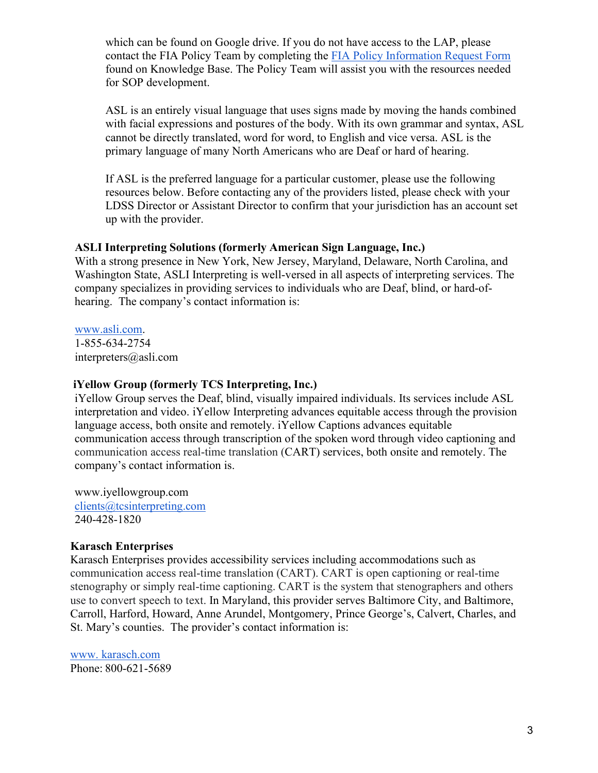which can be found on Google drive. If you do not have access to the LAP, please contact the FIA Policy Team by completing the [FIA Policy Information Request Form](http://kb.dhs.maryland.gov/family-investment-administration/contact-us-with-your-fia-program-eligibility-policy-question/) found on Knowledge Base. The Policy Team will assist you with the resources needed for SOP development.

ASL is an entirely visual language that uses signs made by moving the hands combined with facial expressions and postures of the body. With its own grammar and syntax, ASL cannot be directly translated, word for word, to English and vice versa. ASL is the primary language of many North Americans who are Deaf or hard of hearing.

If ASL is the preferred language for a particular customer, please use the following resources below. Before contacting any of the providers listed, please check with your LDSS Director or Assistant Director to confirm that your jurisdiction has an account set up with the provider.

#### **ASLI Interpreting Solutions (formerly American Sign Language, Inc.)**

With a strong presence in New York, New Jersey, Maryland, Delaware, North Carolina, and Washington State, ASLI Interpreting is well-versed in all aspects of interpreting services. The company specializes in providing services to individuals who are Deaf, blind, or hard-ofhearing. The company's contact information is:

#### [www.asli.com.](http://www.asli.com/)

1-855-634-2754 [interpreters@asli.com](mailto:interpreters@asli.com)

#### **iYellow Group (formerly TCS Interpreting, Inc.)**

iYellow Group serves the Deaf, blind, visually impaired individuals. Its services include ASL interpretation and video. iYellow Interpreting advances equitable access through the provision language access, both onsite and remotely. iYellow Captions advances equitable communication access through transcription of the spoken word through video captioning and communication access real-time translation (CART) services, both onsite and remotely. The company's contact information is.

[www.iyellowgroup.com](http://www.iyellowgroup.com/) [clients@tcsinterpreting.com](mailto:clients@tcsinterpreting.com) 240-428-1820

#### **Karasch Enterprises**

Karasch Enterprises provides accessibility services including accommodations such as communication access real-time translation (CART). CART is open captioning or real-time stenography or simply real-time captioning. CART is the system that stenographers and others use to convert speech to text. In Maryland, this provider serves Baltimore City, and Baltimore, Carroll, Harford, Howard, Anne Arundel, Montgomery, Prince George's, Calvert, Charles, and St. Mary's counties. The provider's contact information is:

[www. karasch.com](http://www.karasch.com/) Phone: 800-621-5689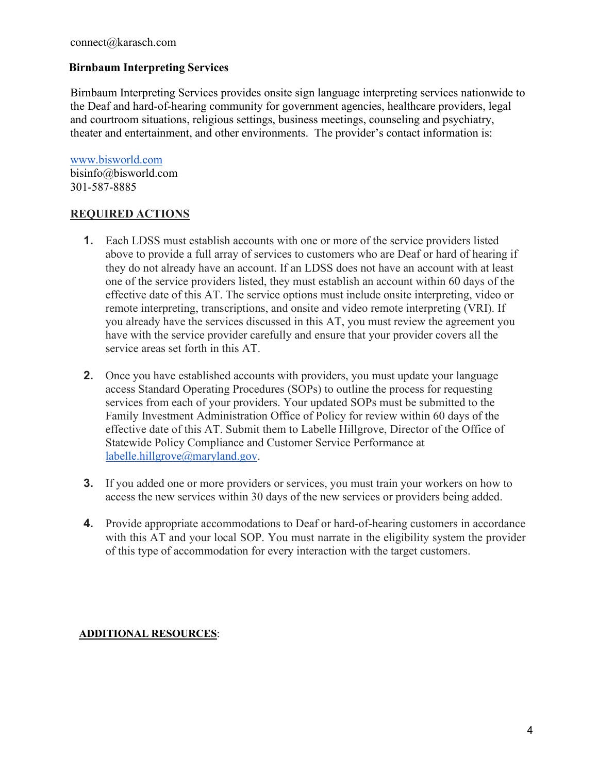### **Birnbaum Interpreting Services**

Birnbaum Interpreting Services provides onsite sign language interpreting services nationwide to the Deaf and hard-of-hearing community for government agencies, healthcare providers, legal and courtroom situations, religious settings, business meetings, counseling and psychiatry, theater and entertainment, and other environments. The provider's contact information is:

[www.bisworld.com](http://www.bisworld.com/) [bisinfo@bisworld.com](mailto:bisinfo@bisworld.com) 301-587-8885

#### **REQUIRED ACTIONS**

- **1.** Each LDSS must establish accounts with one or more of the service providers listed above to provide a full array of services to customers who are Deaf or hard of hearing if they do not already have an account. If an LDSS does not have an account with at least one of the service providers listed, they must establish an account within 60 days of the effective date of this AT. The service options must include onsite interpreting, video or remote interpreting, transcriptions, and onsite and video remote interpreting (VRI). If you already have the services discussed in this AT, you must review the agreement you have with the service provider carefully and ensure that your provider covers all the service areas set forth in this AT.
- **2.** Once you have established accounts with providers, you must update your language access Standard Operating Procedures (SOPs) to outline the process for requesting services from each of your providers. Your updated SOPs must be submitted to the Family Investment Administration Office of Policy for review within 60 days of the effective date of this AT. Submit them to Labelle Hillgrove, Director of the Office of Statewide Policy Compliance and Customer Service Performance at [labelle.hillgrove@maryland.gov.](mailto:labelle.hillgrove@maryland.gov)
- **3.** If you added one or more providers or services, you must train your workers on how to access the new services within 30 days of the new services or providers being added.
- **4.** Provide appropriate accommodations to Deaf or hard-of-hearing customers in accordance with this AT and your local SOP. You must narrate in the eligibility system the provider of this type of accommodation for every interaction with the target customers.

#### **ADDITIONAL RESOURCES**: